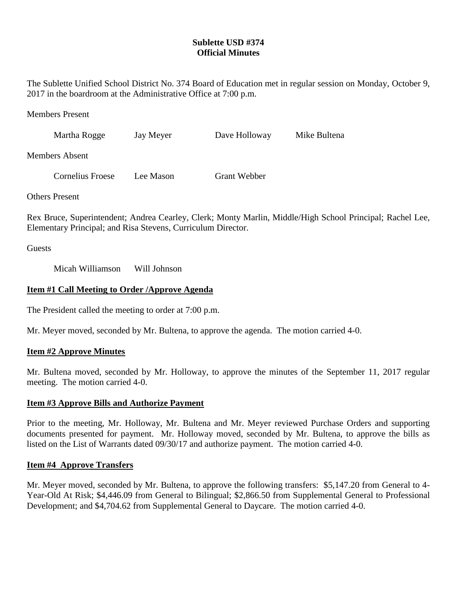# **Sublette USD #374 Official Minutes**

The Sublette Unified School District No. 374 Board of Education met in regular session on Monday, October 9, 2017 in the boardroom at the Administrative Office at 7:00 p.m.

Members Present

| Martha Rogge          |  | Jay Meyer | Dave Holloway       | Mike Bultena |
|-----------------------|--|-----------|---------------------|--------------|
| Members Absent        |  |           |                     |              |
| Cornelius Froese      |  | Lee Mason | <b>Grant Webber</b> |              |
| <b>Others</b> Present |  |           |                     |              |

Rex Bruce, Superintendent; Andrea Cearley, Clerk; Monty Marlin, Middle/High School Principal; Rachel Lee, Elementary Principal; and Risa Stevens, Curriculum Director.

**Guests** 

Micah Williamson Will Johnson

# **Item #1 Call Meeting to Order /Approve Agenda**

The President called the meeting to order at 7:00 p.m.

Mr. Meyer moved, seconded by Mr. Bultena, to approve the agenda. The motion carried 4-0.

# **Item #2 Approve Minutes**

Mr. Bultena moved, seconded by Mr. Holloway, to approve the minutes of the September 11, 2017 regular meeting. The motion carried 4-0.

# **Item #3 Approve Bills and Authorize Payment**

Prior to the meeting, Mr. Holloway, Mr. Bultena and Mr. Meyer reviewed Purchase Orders and supporting documents presented for payment. Mr. Holloway moved, seconded by Mr. Bultena, to approve the bills as listed on the List of Warrants dated 09/30/17 and authorize payment. The motion carried 4-0.

# **Item #4 Approve Transfers**

Mr. Meyer moved, seconded by Mr. Bultena, to approve the following transfers: \$5,147.20 from General to 4- Year-Old At Risk; \$4,446.09 from General to Bilingual; \$2,866.50 from Supplemental General to Professional Development; and \$4,704.62 from Supplemental General to Daycare. The motion carried 4-0.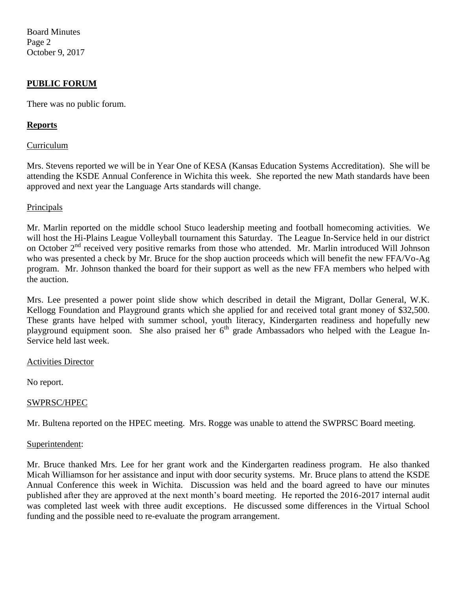Board Minutes Page 2 October 9, 2017

# **PUBLIC FORUM**

There was no public forum.

# **Reports**

#### Curriculum

Mrs. Stevens reported we will be in Year One of KESA (Kansas Education Systems Accreditation). She will be attending the KSDE Annual Conference in Wichita this week. She reported the new Math standards have been approved and next year the Language Arts standards will change.

### Principals

Mr. Marlin reported on the middle school Stuco leadership meeting and football homecoming activities. We will host the Hi-Plains League Volleyball tournament this Saturday. The League In-Service held in our district on October 2<sup>nd</sup> received very positive remarks from those who attended. Mr. Marlin introduced Will Johnson who was presented a check by Mr. Bruce for the shop auction proceeds which will benefit the new FFA/Vo-Ag program. Mr. Johnson thanked the board for their support as well as the new FFA members who helped with the auction.

Mrs. Lee presented a power point slide show which described in detail the Migrant, Dollar General, W.K. Kellogg Foundation and Playground grants which she applied for and received total grant money of \$32,500. These grants have helped with summer school, youth literacy, Kindergarten readiness and hopefully new playground equipment soon. She also praised her 6<sup>th</sup> grade Ambassadors who helped with the League In-Service held last week.

#### Activities Director

No report.

# SWPRSC/HPEC

Mr. Bultena reported on the HPEC meeting. Mrs. Rogge was unable to attend the SWPRSC Board meeting.

#### Superintendent:

Mr. Bruce thanked Mrs. Lee for her grant work and the Kindergarten readiness program. He also thanked Micah Williamson for her assistance and input with door security systems. Mr. Bruce plans to attend the KSDE Annual Conference this week in Wichita. Discussion was held and the board agreed to have our minutes published after they are approved at the next month's board meeting. He reported the 2016-2017 internal audit was completed last week with three audit exceptions. He discussed some differences in the Virtual School funding and the possible need to re-evaluate the program arrangement.